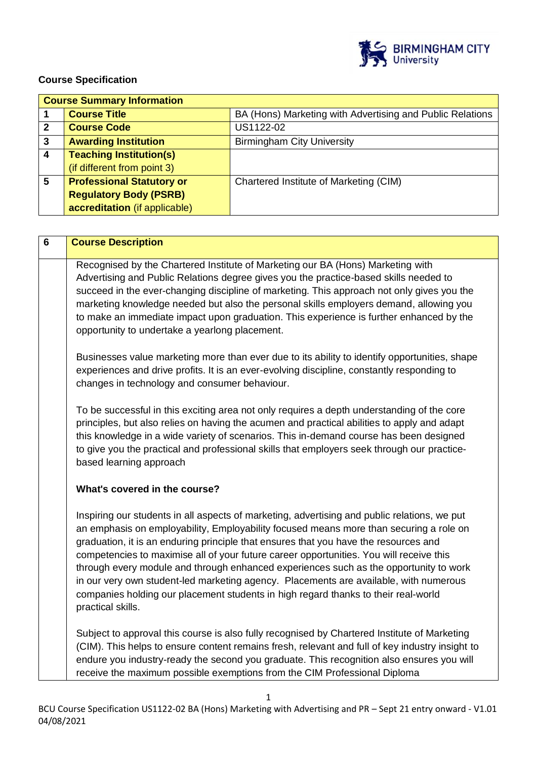

# **Course Specification**

|              | <b>Course Summary Information</b> |                                                           |  |  |
|--------------|-----------------------------------|-----------------------------------------------------------|--|--|
|              | <b>Course Title</b>               | BA (Hons) Marketing with Advertising and Public Relations |  |  |
| $\mathbf{2}$ | <b>Course Code</b>                | US1122-02                                                 |  |  |
| 3            | <b>Awarding Institution</b>       | <b>Birmingham City University</b>                         |  |  |
| 4            | <b>Teaching Institution(s)</b>    |                                                           |  |  |
|              | (if different from point 3)       |                                                           |  |  |
| 5            | <b>Professional Statutory or</b>  | Chartered Institute of Marketing (CIM)                    |  |  |
|              | <b>Regulatory Body (PSRB)</b>     |                                                           |  |  |
|              | accreditation (if applicable)     |                                                           |  |  |

| 6 | <b>Course Description</b>                                                                                                                                                                                                                                                                                                                                                                                                                                                                                                                                                                                                                                              |  |
|---|------------------------------------------------------------------------------------------------------------------------------------------------------------------------------------------------------------------------------------------------------------------------------------------------------------------------------------------------------------------------------------------------------------------------------------------------------------------------------------------------------------------------------------------------------------------------------------------------------------------------------------------------------------------------|--|
|   | Recognised by the Chartered Institute of Marketing our BA (Hons) Marketing with<br>Advertising and Public Relations degree gives you the practice-based skills needed to<br>succeed in the ever-changing discipline of marketing. This approach not only gives you the<br>marketing knowledge needed but also the personal skills employers demand, allowing you<br>to make an immediate impact upon graduation. This experience is further enhanced by the<br>opportunity to undertake a yearlong placement.                                                                                                                                                          |  |
|   | Businesses value marketing more than ever due to its ability to identify opportunities, shape<br>experiences and drive profits. It is an ever-evolving discipline, constantly responding to<br>changes in technology and consumer behaviour.                                                                                                                                                                                                                                                                                                                                                                                                                           |  |
|   | To be successful in this exciting area not only requires a depth understanding of the core<br>principles, but also relies on having the acumen and practical abilities to apply and adapt<br>this knowledge in a wide variety of scenarios. This in-demand course has been designed<br>to give you the practical and professional skills that employers seek through our practice-<br>based learning approach                                                                                                                                                                                                                                                          |  |
|   | What's covered in the course?                                                                                                                                                                                                                                                                                                                                                                                                                                                                                                                                                                                                                                          |  |
|   | Inspiring our students in all aspects of marketing, advertising and public relations, we put<br>an emphasis on employability, Employability focused means more than securing a role on<br>graduation, it is an enduring principle that ensures that you have the resources and<br>competencies to maximise all of your future career opportunities. You will receive this<br>through every module and through enhanced experiences such as the opportunity to work<br>in our very own student-led marketing agency. Placements are available, with numerous<br>companies holding our placement students in high regard thanks to their real-world<br>practical skills. |  |
|   | Subject to approval this course is also fully recognised by Chartered Institute of Marketing<br>(CIM). This helps to ensure content remains fresh, relevant and full of key industry insight to<br>endure you industry-ready the second you graduate. This recognition also ensures you will<br>receive the maximum possible exemptions from the CIM Professional Diploma                                                                                                                                                                                                                                                                                              |  |

1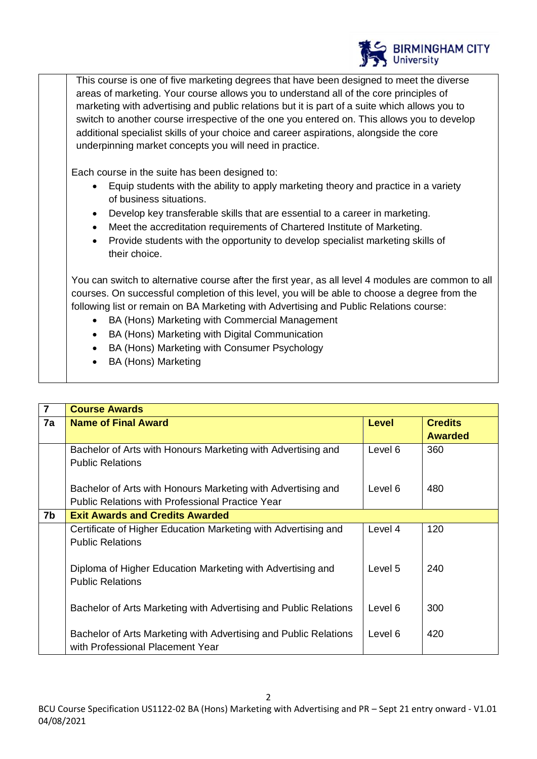

This course is one of five marketing degrees that have been designed to meet the diverse areas of marketing. Your course allows you to understand all of the core principles of marketing with advertising and public relations but it is part of a suite which allows you to switch to another course irrespective of the one you entered on. This allows you to develop additional specialist skills of your choice and career aspirations, alongside the core underpinning market concepts you will need in practice.

Each course in the suite has been designed to:

- Equip students with the ability to apply marketing theory and practice in a variety of business situations.
- Develop key transferable skills that are essential to a career in marketing.
- Meet the accreditation requirements of Chartered Institute of Marketing.
- Provide students with the opportunity to develop specialist marketing skills of their choice.

You can switch to alternative course after the first year, as all level 4 modules are common to all courses. On successful completion of this level, you will be able to choose a degree from the following list or remain on BA Marketing with Advertising and Public Relations course:

- BA (Hons) Marketing with Commercial Management
- BA (Hons) Marketing with Digital Communication
- BA (Hons) Marketing with Consumer Psychology
- BA (Hons) Marketing

| $\overline{7}$ | <b>Course Awards</b>                                             |              |                |
|----------------|------------------------------------------------------------------|--------------|----------------|
| 7a             | <b>Name of Final Award</b>                                       | <b>Level</b> | <b>Credits</b> |
|                |                                                                  |              | <b>Awarded</b> |
|                | Bachelor of Arts with Honours Marketing with Advertising and     | Level 6      | 360            |
|                | <b>Public Relations</b>                                          |              |                |
|                |                                                                  |              |                |
|                | Bachelor of Arts with Honours Marketing with Advertising and     | Level 6      | 480            |
|                | <b>Public Relations with Professional Practice Year</b>          |              |                |
| 7b             | <b>Exit Awards and Credits Awarded</b>                           |              |                |
|                | Certificate of Higher Education Marketing with Advertising and   | Level 4      | 120            |
|                | <b>Public Relations</b>                                          |              |                |
|                |                                                                  |              |                |
|                | Diploma of Higher Education Marketing with Advertising and       | Level 5      | 240            |
|                | <b>Public Relations</b>                                          |              |                |
|                |                                                                  |              |                |
|                | Bachelor of Arts Marketing with Advertising and Public Relations | Level 6      | 300            |
|                |                                                                  |              |                |
|                | Bachelor of Arts Marketing with Advertising and Public Relations | Level 6      | 420            |
|                | with Professional Placement Year                                 |              |                |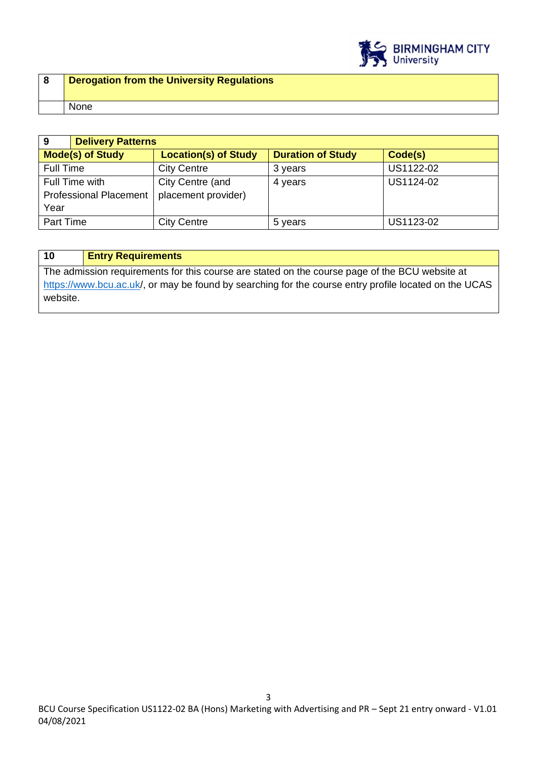

| <b>Derogation from the University Regulations</b> |
|---------------------------------------------------|
| None                                              |

| 9                             | <b>Delivery Patterns</b> |                             |                          |           |
|-------------------------------|--------------------------|-----------------------------|--------------------------|-----------|
| <b>Mode(s) of Study</b>       |                          | <b>Location(s) of Study</b> | <b>Duration of Study</b> | Code(s)   |
| Full Time                     |                          | <b>City Centre</b>          | 3 years                  | US1122-02 |
| Full Time with                |                          | City Centre (and            | 4 years                  | US1124-02 |
| <b>Professional Placement</b> |                          | placement provider)         |                          |           |
| Year                          |                          |                             |                          |           |
| Part Time                     |                          | <b>City Centre</b>          | 5 years                  | US1123-02 |

# **10 Entry Requirements**

The admission requirements for this course are stated on the course page of the BCU website at <https://www.bcu.ac.uk/>, or may be found by searching for the course entry profile located on the UCAS website.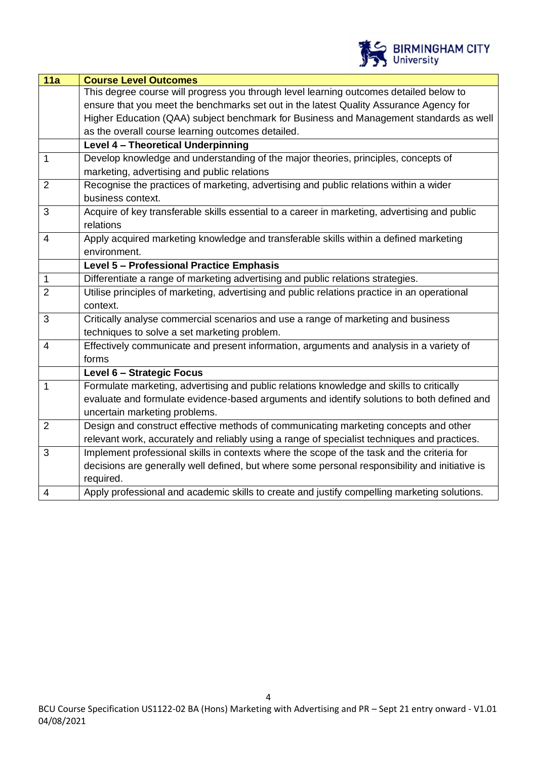

| 11a            | <b>Course Level Outcomes</b>                                                                   |  |
|----------------|------------------------------------------------------------------------------------------------|--|
|                | This degree course will progress you through level learning outcomes detailed below to         |  |
|                | ensure that you meet the benchmarks set out in the latest Quality Assurance Agency for         |  |
|                | Higher Education (QAA) subject benchmark for Business and Management standards as well         |  |
|                | as the overall course learning outcomes detailed.                                              |  |
|                | Level 4 - Theoretical Underpinning                                                             |  |
| $\mathbf{1}$   | Develop knowledge and understanding of the major theories, principles, concepts of             |  |
|                | marketing, advertising and public relations                                                    |  |
| $\overline{2}$ | Recognise the practices of marketing, advertising and public relations within a wider          |  |
|                | business context.                                                                              |  |
| 3              | Acquire of key transferable skills essential to a career in marketing, advertising and public  |  |
|                | relations                                                                                      |  |
| $\overline{4}$ | Apply acquired marketing knowledge and transferable skills within a defined marketing          |  |
|                | environment.                                                                                   |  |
|                | Level 5 - Professional Practice Emphasis                                                       |  |
| $\mathbf{1}$   | Differentiate a range of marketing advertising and public relations strategies.                |  |
| $\overline{2}$ | Utilise principles of marketing, advertising and public relations practice in an operational   |  |
|                | context.                                                                                       |  |
| 3              | Critically analyse commercial scenarios and use a range of marketing and business              |  |
|                | techniques to solve a set marketing problem.                                                   |  |
| $\overline{4}$ | Effectively communicate and present information, arguments and analysis in a variety of        |  |
|                | forms                                                                                          |  |
|                | Level 6 - Strategic Focus                                                                      |  |
| $\mathbf{1}$   | Formulate marketing, advertising and public relations knowledge and skills to critically       |  |
|                | evaluate and formulate evidence-based arguments and identify solutions to both defined and     |  |
|                | uncertain marketing problems.                                                                  |  |
| $\overline{2}$ | Design and construct effective methods of communicating marketing concepts and other           |  |
|                | relevant work, accurately and reliably using a range of specialist techniques and practices.   |  |
| 3              | Implement professional skills in contexts where the scope of the task and the criteria for     |  |
|                | decisions are generally well defined, but where some personal responsibility and initiative is |  |
|                | required.                                                                                      |  |
| $\overline{4}$ | Apply professional and academic skills to create and justify compelling marketing solutions.   |  |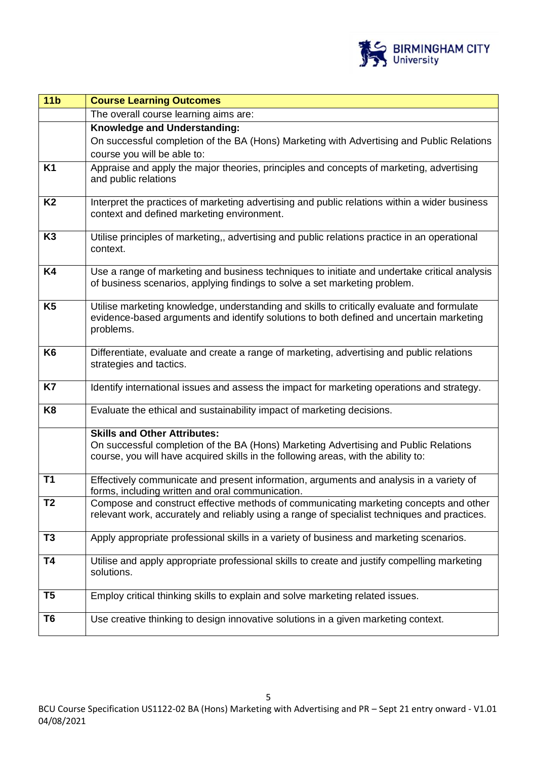

| 11 <sub>b</sub> | <b>Course Learning Outcomes</b>                                                                                                                                                                                   |  |
|-----------------|-------------------------------------------------------------------------------------------------------------------------------------------------------------------------------------------------------------------|--|
|                 | The overall course learning aims are:                                                                                                                                                                             |  |
|                 | Knowledge and Understanding:                                                                                                                                                                                      |  |
|                 | On successful completion of the BA (Hons) Marketing with Advertising and Public Relations                                                                                                                         |  |
|                 | course you will be able to:                                                                                                                                                                                       |  |
| K1              | Appraise and apply the major theories, principles and concepts of marketing, advertising<br>and public relations                                                                                                  |  |
| K <sub>2</sub>  | Interpret the practices of marketing advertising and public relations within a wider business<br>context and defined marketing environment.                                                                       |  |
| K <sub>3</sub>  | Utilise principles of marketing,, advertising and public relations practice in an operational<br>context.                                                                                                         |  |
| K4              | Use a range of marketing and business techniques to initiate and undertake critical analysis<br>of business scenarios, applying findings to solve a set marketing problem.                                        |  |
| K <sub>5</sub>  | Utilise marketing knowledge, understanding and skills to critically evaluate and formulate<br>evidence-based arguments and identify solutions to both defined and uncertain marketing<br>problems.                |  |
| K <sub>6</sub>  | Differentiate, evaluate and create a range of marketing, advertising and public relations<br>strategies and tactics.                                                                                              |  |
| K7              | Identify international issues and assess the impact for marketing operations and strategy.                                                                                                                        |  |
| K <sub>8</sub>  | Evaluate the ethical and sustainability impact of marketing decisions.                                                                                                                                            |  |
|                 | <b>Skills and Other Attributes:</b><br>On successful completion of the BA (Hons) Marketing Advertising and Public Relations<br>course, you will have acquired skills in the following areas, with the ability to: |  |
| T1              | Effectively communicate and present information, arguments and analysis in a variety of<br>forms, including written and oral communication.                                                                       |  |
| T2              | Compose and construct effective methods of communicating marketing concepts and other<br>relevant work, accurately and reliably using a range of specialist techniques and practices.                             |  |
| T3              | Apply appropriate professional skills in a variety of business and marketing scenarios.                                                                                                                           |  |
| T4              | Utilise and apply appropriate professional skills to create and justify compelling marketing<br>solutions.                                                                                                        |  |
| T <sub>5</sub>  | Employ critical thinking skills to explain and solve marketing related issues.                                                                                                                                    |  |
| T6              | Use creative thinking to design innovative solutions in a given marketing context.                                                                                                                                |  |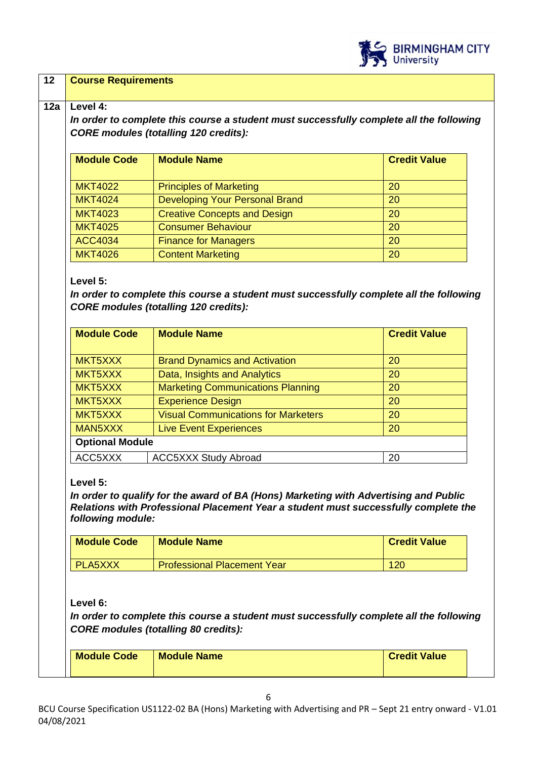

#### **12 Course Requirements**

#### **12a Level 4:**

*In order to complete this course a student must successfully complete all the following CORE modules (totalling 120 credits):*

| <b>Module Code</b> | <b>Module Name</b>                  | <b>Credit Value</b> |
|--------------------|-------------------------------------|---------------------|
| <b>MKT4022</b>     | <b>Principles of Marketing</b>      | 20                  |
| <b>MKT4024</b>     | Developing Your Personal Brand      | 20                  |
| <b>MKT4023</b>     | <b>Creative Concepts and Design</b> | 20                  |
| <b>MKT4025</b>     | <b>Consumer Behaviour</b>           | 20                  |
| <b>ACC4034</b>     | <b>Finance for Managers</b>         | 20                  |
| <b>MKT4026</b>     | <b>Content Marketing</b>            | 20                  |

#### **Level 5:**

*In order to complete this course a student must successfully complete all the following CORE modules (totalling 120 credits):*

| <b>Module Code</b>     | <b>Module Name</b>                         | <b>Credit Value</b> |  |
|------------------------|--------------------------------------------|---------------------|--|
| MKT5XXX                | <b>Brand Dynamics and Activation</b>       | 20                  |  |
| MKT5XXX                | Data, Insights and Analytics               | 20                  |  |
| MKT5XXX                | <b>Marketing Communications Planning</b>   | 20                  |  |
| MKT5XXX                | <b>Experience Design</b>                   | 20                  |  |
| MKT5XXX                | <b>Visual Communications for Marketers</b> | 20                  |  |
| MAN5XXX                | <b>Live Event Experiences</b>              | 20                  |  |
| <b>Optional Module</b> |                                            |                     |  |
| ACC5XXX                | <b>ACC5XXX Study Abroad</b>                | 20                  |  |

### **Level 5:**

*In order to qualify for the award of BA (Hons) Marketing with Advertising and Public Relations with Professional Placement Year a student must successfully complete the following module:*

| <b>Module Code</b> | <b>Module Name</b>                 | <b>Credit Value</b> |
|--------------------|------------------------------------|---------------------|
| <b>PLA5XXX</b>     | <b>Professional Placement Year</b> | 120                 |

### **Level 6:**

*In order to complete this course a student must successfully complete all the following CORE modules (totalling 80 credits):*

| <b>Module Code</b> | <b>Module Name</b> | <b>Credit Value</b> |  |
|--------------------|--------------------|---------------------|--|
|                    |                    |                     |  |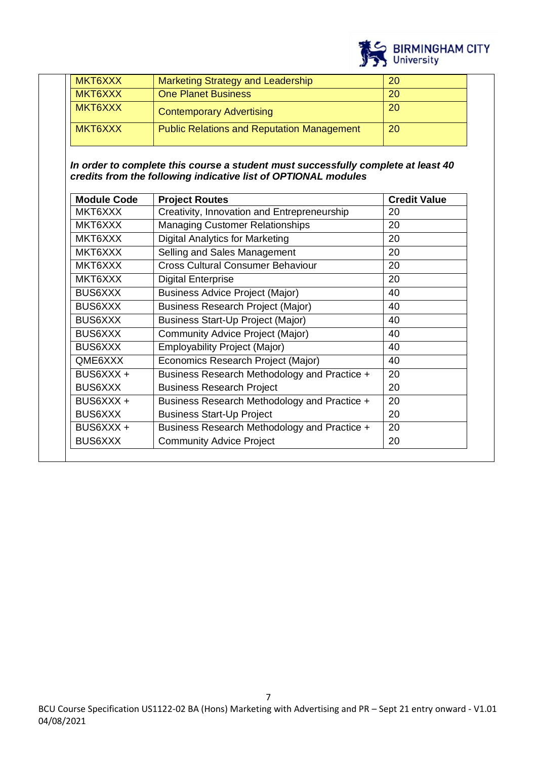

| MKT6XXX | <b>Marketing Strategy and Leadership</b>          | <b>20</b> |
|---------|---------------------------------------------------|-----------|
| MKT6XXX | <b>One Planet Business</b>                        | <b>20</b> |
| MKT6XXX | <b>Contemporary Advertising</b>                   | -20       |
| MKT6XXX | <b>Public Relations and Reputation Management</b> | <b>20</b> |

*In order to complete this course a student must successfully complete at least 40 credits from the following indicative list of OPTIONAL modules*

| <b>Module Code</b> | <b>Project Routes</b>                        | <b>Credit Value</b> |
|--------------------|----------------------------------------------|---------------------|
| MKT6XXX            | Creativity, Innovation and Entrepreneurship  | 20                  |
| MKT6XXX            | <b>Managing Customer Relationships</b>       | 20                  |
| MKT6XXX            | <b>Digital Analytics for Marketing</b>       | 20                  |
| MKT6XXX            | Selling and Sales Management                 | 20                  |
| MKT6XXX            | <b>Cross Cultural Consumer Behaviour</b>     | 20                  |
| MKT6XXX            | <b>Digital Enterprise</b>                    | 20                  |
| <b>BUS6XXX</b>     | <b>Business Advice Project (Major)</b>       | 40                  |
| <b>BUS6XXX</b>     | <b>Business Research Project (Major)</b>     | 40                  |
| <b>BUS6XXX</b>     | <b>Business Start-Up Project (Major)</b>     | 40                  |
| <b>BUS6XXX</b>     | Community Advice Project (Major)             | 40                  |
| <b>BUS6XXX</b>     | <b>Employability Project (Major)</b>         | 40                  |
| QME6XXX            | Economics Research Project (Major)           | 40                  |
| BUS6XXX +          | Business Research Methodology and Practice + | 20                  |
| <b>BUS6XXX</b>     | <b>Business Research Project</b>             | 20                  |
| BUS6XXX +          | Business Research Methodology and Practice + | 20                  |
| <b>BUS6XXX</b>     | <b>Business Start-Up Project</b>             | 20                  |
| BUS6XXX +          | Business Research Methodology and Practice + | 20                  |
| <b>BUS6XXX</b>     | <b>Community Advice Project</b>              | 20                  |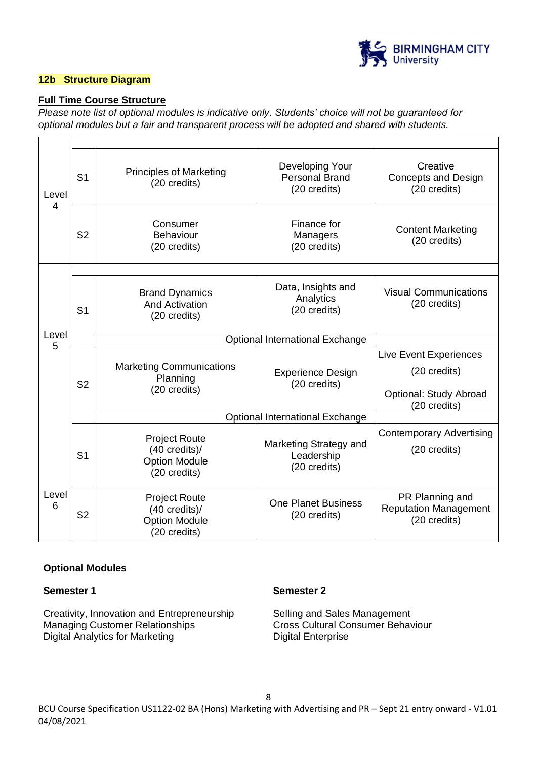

### **12b Structure Diagram**

 $\mathbf{r}$ 

### **Full Time Course Structure**

*Please note list of optional modules is indicative only. Students' choice will not be guaranteed for optional modules but a fair and transparent process will be adopted and shared with students.*

| Level<br>4 | S <sub>1</sub> | <b>Principles of Marketing</b><br>(20 credits)                                           | Developing Your<br><b>Personal Brand</b><br>(20 credits) | Creative<br><b>Concepts and Design</b><br>(20 credits)          |  |
|------------|----------------|------------------------------------------------------------------------------------------|----------------------------------------------------------|-----------------------------------------------------------------|--|
|            | S <sub>2</sub> | Consumer<br>Behaviour<br>(20 credits)                                                    | Finance for<br>Managers<br>(20 credits)                  | <b>Content Marketing</b><br>(20 credits)                        |  |
|            |                |                                                                                          |                                                          |                                                                 |  |
|            | S <sub>1</sub> | <b>Brand Dynamics</b><br><b>And Activation</b><br>(20 credits)                           | Data, Insights and<br>Analytics<br>(20 credits)          | <b>Visual Communications</b><br>(20 credits)                    |  |
| Level<br>5 |                | Optional International Exchange                                                          |                                                          |                                                                 |  |
|            | S <sub>2</sub> | <b>Marketing Communications</b><br>Planning<br>(20 credits)                              | <b>Experience Design</b><br>(20 credits)                 | Live Event Experiences<br>(20 credits)                          |  |
|            |                |                                                                                          |                                                          | Optional: Study Abroad<br>(20 credits)                          |  |
|            |                |                                                                                          | Optional International Exchange                          |                                                                 |  |
|            | S <sub>1</sub> | <b>Project Route</b><br>$(40 \text{ credits})$ /<br><b>Option Module</b><br>(20 credits) | Marketing Strategy and<br>Leadership<br>(20 credits)     | <b>Contemporary Advertising</b><br>(20 credits)                 |  |
| Level<br>6 | S <sub>2</sub> | <b>Project Route</b><br>$(40 \text{ credits})$ /<br><b>Option Module</b><br>(20 credits) | <b>One Planet Business</b><br>(20 credits)               | PR Planning and<br><b>Reputation Management</b><br>(20 credits) |  |

### **Optional Modules**

#### **Semester 1**

Creativity, Innovation and Entrepreneurship Managing Customer Relationships Digital Analytics for Marketing

### **Semester 2**

Selling and Sales Management Cross Cultural Consumer Behaviour Digital Enterprise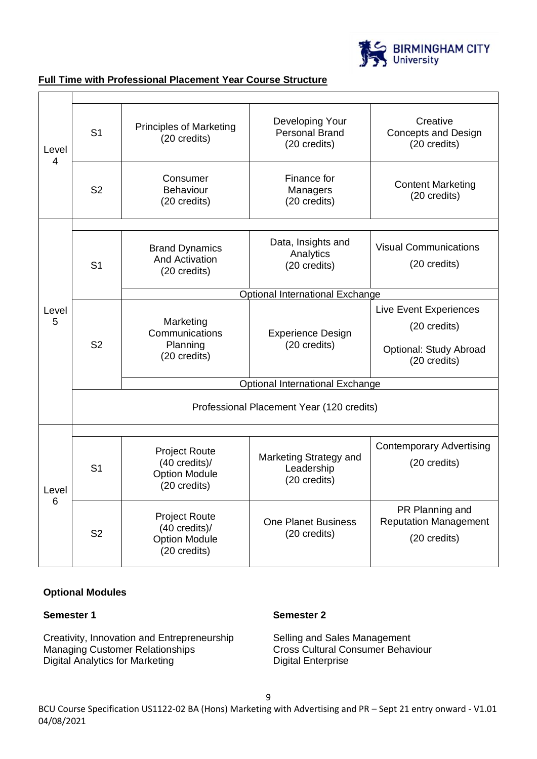

| Level<br>4 | S <sub>1</sub>                            | <b>Principles of Marketing</b><br>(20 credits)                                           | Developing Your<br><b>Personal Brand</b><br>(20 credits) | Creative<br><b>Concepts and Design</b><br>(20 credits)                           |
|------------|-------------------------------------------|------------------------------------------------------------------------------------------|----------------------------------------------------------|----------------------------------------------------------------------------------|
|            | S <sub>2</sub>                            | Consumer<br>Behaviour<br>(20 credits)                                                    | Finance for<br>Managers<br>(20 credits)                  | <b>Content Marketing</b><br>(20 credits)                                         |
|            |                                           |                                                                                          |                                                          |                                                                                  |
|            | S <sub>1</sub>                            | <b>Brand Dynamics</b><br><b>And Activation</b><br>(20 credits)                           | Data, Insights and<br>Analytics<br>(20 credits)          | <b>Visual Communications</b><br>(20 credits)                                     |
|            |                                           |                                                                                          | Optional International Exchange                          |                                                                                  |
| Level<br>5 | S <sub>2</sub>                            | Marketing<br>Communications<br>Planning<br>(20 credits)                                  | <b>Experience Design</b><br>(20 credits)                 | Live Event Experiences<br>(20 credits)<br>Optional: Study Abroad<br>(20 credits) |
|            |                                           |                                                                                          | Optional International Exchange                          |                                                                                  |
|            | Professional Placement Year (120 credits) |                                                                                          |                                                          |                                                                                  |
|            |                                           |                                                                                          |                                                          |                                                                                  |
| Level<br>6 | S <sub>1</sub>                            | <b>Project Route</b><br>$(40 \text{ credits})$ /<br><b>Option Module</b><br>(20 credits) | Marketing Strategy and<br>Leadership<br>(20 credits)     | <b>Contemporary Advertising</b><br>(20 credits)                                  |
|            | S <sub>2</sub>                            | <b>Project Route</b><br>$(40 \text{ credits})$ /<br><b>Option Module</b><br>(20 credits) | <b>One Planet Business</b><br>(20 credits)               | PR Planning and<br><b>Reputation Management</b><br>(20 credits)                  |

### **Full Time with Professional Placement Year Course Structure**

### **Optional Modules**

### **Semester 1**

Creativity, Innovation and Entrepreneurship Managing Customer Relationships Digital Analytics for Marketing

### **Semester 2**

Selling and Sales Management Cross Cultural Consumer Behaviour Digital Enterprise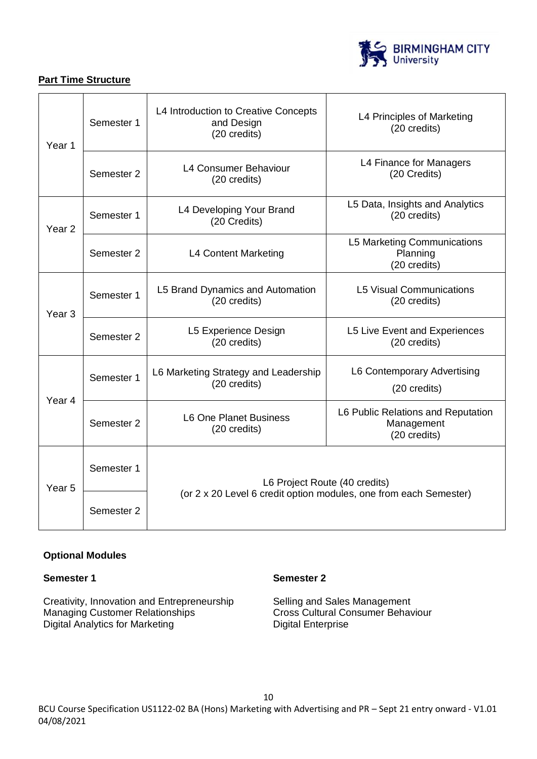

## **Part Time Structure**

| Year 1                                                                | Semester 1 | L4 Introduction to Creative Concepts<br>and Design<br>(20 credits)                                 | L4 Principles of Marketing<br>(20 credits)                       |  |
|-----------------------------------------------------------------------|------------|----------------------------------------------------------------------------------------------------|------------------------------------------------------------------|--|
| L4 Consumer Behaviour<br>Semester 2<br>(20 credits)                   |            |                                                                                                    | L4 Finance for Managers<br>(20 Credits)                          |  |
| Year <sub>2</sub>                                                     | Semester 1 | L4 Developing Your Brand<br>(20 Credits)                                                           | L5 Data, Insights and Analytics<br>(20 credits)                  |  |
|                                                                       | Semester 2 | L4 Content Marketing                                                                               | <b>L5 Marketing Communications</b><br>Planning<br>(20 credits)   |  |
| Year <sub>3</sub>                                                     | Semester 1 | L5 Brand Dynamics and Automation<br>(20 credits)                                                   | <b>L5 Visual Communications</b><br>(20 credits)                  |  |
|                                                                       | Semester 2 | L5 Experience Design<br>(20 credits)                                                               | L5 Live Event and Experiences<br>(20 credits)                    |  |
|                                                                       | Semester 1 | L6 Marketing Strategy and Leadership<br>(20 credits)                                               | L6 Contemporary Advertising<br>(20 credits)                      |  |
| Year 4<br><b>L6 One Planet Business</b><br>Semester 2<br>(20 credits) |            |                                                                                                    | L6 Public Relations and Reputation<br>Management<br>(20 credits) |  |
| Year <sub>5</sub>                                                     | Semester 1 | L6 Project Route (40 credits)<br>(or 2 x 20 Level 6 credit option modules, one from each Semester) |                                                                  |  |
|                                                                       | Semester 2 |                                                                                                    |                                                                  |  |

## **Optional Modules**

## **Semester 1**

Creativity, Innovation and Entrepreneurship Managing Customer Relationships Digital Analytics for Marketing

## **Semester 2**

Selling and Sales Management Cross Cultural Consumer Behaviour Digital Enterprise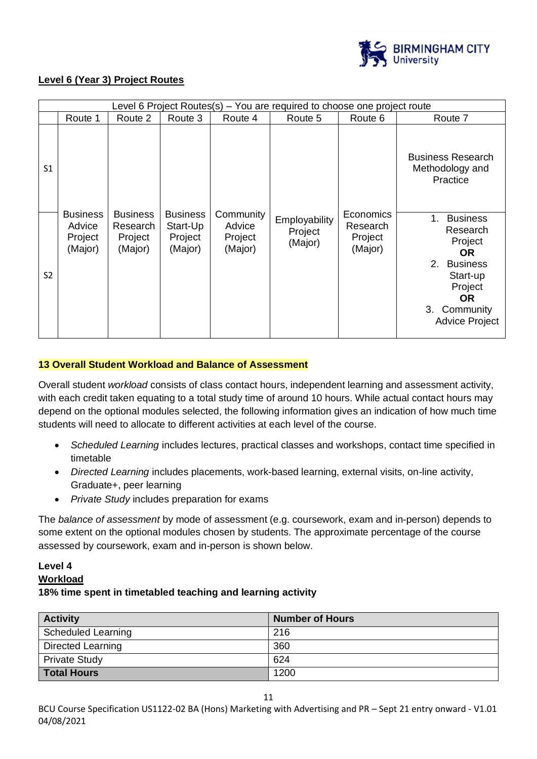

### **Level 6 (Year 3) Project Routes**

|                | Level 6 Project Routes(s) – You are required to choose one project route |                                                   |                                                   |                                           |                                     |                                             |                                                                                                                                                               |
|----------------|--------------------------------------------------------------------------|---------------------------------------------------|---------------------------------------------------|-------------------------------------------|-------------------------------------|---------------------------------------------|---------------------------------------------------------------------------------------------------------------------------------------------------------------|
|                | Route 1                                                                  | Route 2                                           | Route 3                                           | Route 4                                   | Route 5                             | Route 6                                     | Route 7                                                                                                                                                       |
| S1             |                                                                          |                                                   |                                                   |                                           |                                     |                                             | <b>Business Research</b><br>Methodology and<br>Practice                                                                                                       |
| S <sub>2</sub> | <b>Business</b><br>Advice<br>Project<br>(Major)                          | <b>Business</b><br>Research<br>Project<br>(Major) | <b>Business</b><br>Start-Up<br>Project<br>(Major) | Community<br>Advice<br>Project<br>(Major) | Employability<br>Project<br>(Major) | Economics<br>Research<br>Project<br>(Major) | $1_{-}$<br><b>Business</b><br>Research<br>Project<br><b>OR</b><br>2. Business<br>Start-up<br>Project<br><b>OR</b><br>Community<br>3.<br><b>Advice Project</b> |

### **13 Overall Student Workload and Balance of Assessment**

Overall student *workload* consists of class contact hours, independent learning and assessment activity, with each credit taken equating to a total study time of around 10 hours. While actual contact hours may depend on the optional modules selected, the following information gives an indication of how much time students will need to allocate to different activities at each level of the course.

- *Scheduled Learning* includes lectures, practical classes and workshops, contact time specified in timetable
- *Directed Learning* includes placements, work-based learning, external visits, on-line activity, Graduate+, peer learning
- *Private Study* includes preparation for exams

The *balance of assessment* by mode of assessment (e.g. coursework, exam and in-person) depends to some extent on the optional modules chosen by students. The approximate percentage of the course assessed by coursework, exam and in-person is shown below.

### **Level 4**

#### **Workload**

### **18% time spent in timetabled teaching and learning activity**

| <b>Activity</b>          | <b>Number of Hours</b> |
|--------------------------|------------------------|
| Scheduled Learning       | 216                    |
| <b>Directed Learning</b> | 360                    |
| <b>Private Study</b>     | 624                    |
| Total Hours              | 1200                   |